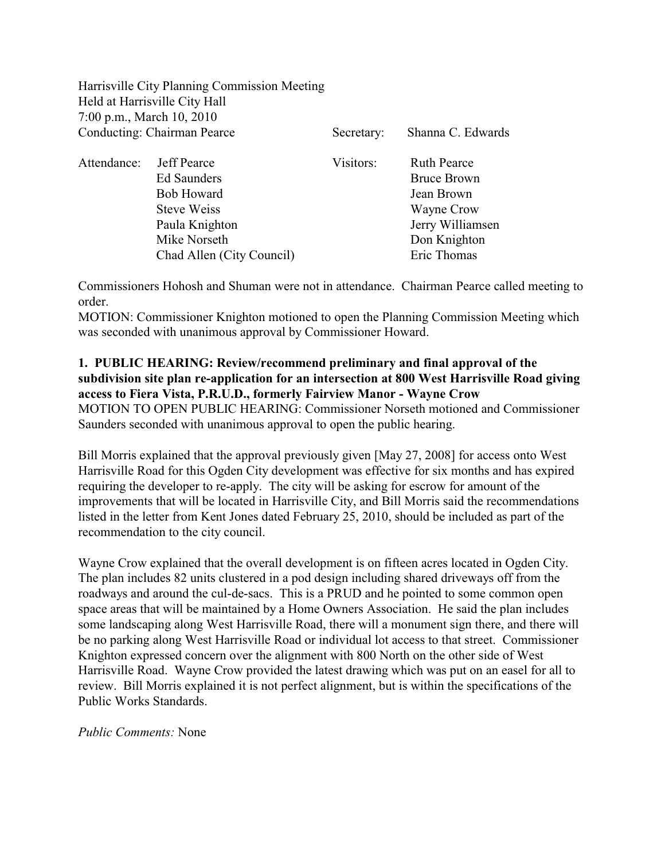Harrisville City Planning Commission Meeting Held at Harrisville City Hall 7:00 p.m., March 10, 2010 Conducting: Chairman Pearce Secretary: Shanna C. Edwards

| Attendance: | <b>Jeff Pearce</b>        | Visitors: | <b>Ruth Pearce</b> |
|-------------|---------------------------|-----------|--------------------|
|             | <b>Ed Saunders</b>        |           | <b>Bruce Brown</b> |
|             | <b>Bob Howard</b>         |           | Jean Brown         |
|             | <b>Steve Weiss</b>        |           | Wayne Crow         |
|             | Paula Knighton            |           | Jerry Williamsen   |
|             | Mike Norseth              |           | Don Knighton       |
|             | Chad Allen (City Council) |           | Eric Thomas        |
|             |                           |           |                    |

Commissioners Hohosh and Shuman were not in attendance. Chairman Pearce called meeting to order.

MOTION: Commissioner Knighton motioned to open the Planning Commission Meeting which was seconded with unanimous approval by Commissioner Howard.

## **1. PUBLIC HEARING: Review/recommend preliminary and final approval of the subdivision site plan re-application for an intersection at 800 West Harrisville Road giving access to Fiera Vista, P.R.U.D., formerly Fairview Manor - Wayne Crow** MOTION TO OPEN PUBLIC HEARING: Commissioner Norseth motioned and Commissioner

Saunders seconded with unanimous approval to open the public hearing.

Bill Morris explained that the approval previously given [May 27, 2008] for access onto West Harrisville Road for this Ogden City development was effective for six months and has expired requiring the developer to re-apply. The city will be asking for escrow for amount of the improvements that will be located in Harrisville City, and Bill Morris said the recommendations listed in the letter from Kent Jones dated February 25, 2010, should be included as part of the recommendation to the city council.

Wayne Crow explained that the overall development is on fifteen acres located in Ogden City. The plan includes 82 units clustered in a pod design including shared driveways off from the roadways and around the cul-de-sacs. This is a PRUD and he pointed to some common open space areas that will be maintained by a Home Owners Association. He said the plan includes some landscaping along West Harrisville Road, there will a monument sign there, and there will be no parking along West Harrisville Road or individual lot access to that street. Commissioner Knighton expressed concern over the alignment with 800 North on the other side of West Harrisville Road. Wayne Crow provided the latest drawing which was put on an easel for all to review. Bill Morris explained it is not perfect alignment, but is within the specifications of the Public Works Standards.

*Public Comments:* None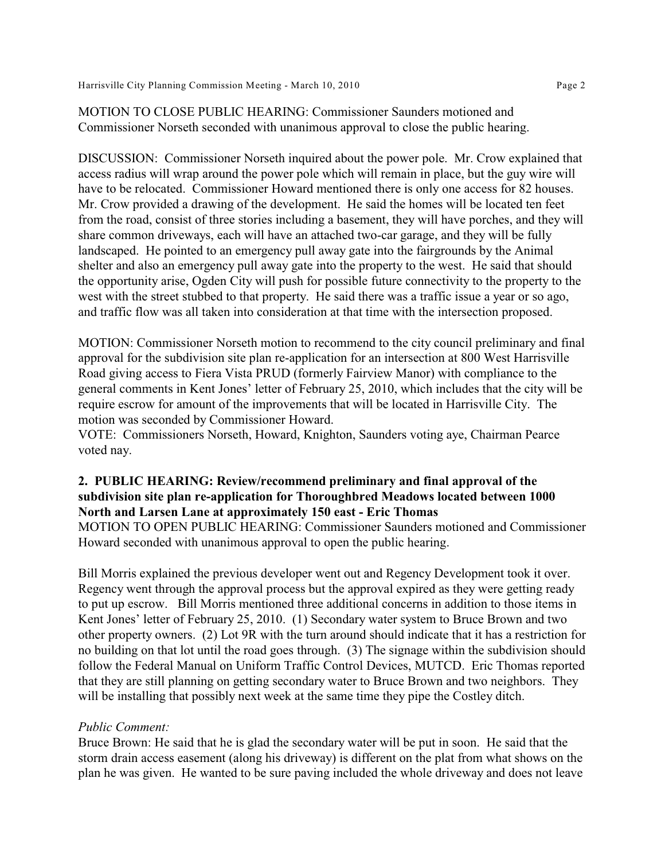MOTION TO CLOSE PUBLIC HEARING: Commissioner Saunders motioned and Commissioner Norseth seconded with unanimous approval to close the public hearing.

DISCUSSION: Commissioner Norseth inquired about the power pole. Mr. Crow explained that access radius will wrap around the power pole which will remain in place, but the guy wire will have to be relocated. Commissioner Howard mentioned there is only one access for 82 houses. Mr. Crow provided a drawing of the development. He said the homes will be located ten feet from the road, consist of three stories including a basement, they will have porches, and they will share common driveways, each will have an attached two-car garage, and they will be fully landscaped. He pointed to an emergency pull away gate into the fairgrounds by the Animal shelter and also an emergency pull away gate into the property to the west. He said that should the opportunity arise, Ogden City will push for possible future connectivity to the property to the west with the street stubbed to that property. He said there was a traffic issue a year or so ago, and traffic flow was all taken into consideration at that time with the intersection proposed.

MOTION: Commissioner Norseth motion to recommend to the city council preliminary and final approval for the subdivision site plan re-application for an intersection at 800 West Harrisville Road giving access to Fiera Vista PRUD (formerly Fairview Manor) with compliance to the general comments in Kent Jones' letter of February 25, 2010, which includes that the city will be require escrow for amount of the improvements that will be located in Harrisville City. The motion was seconded by Commissioner Howard.

VOTE: Commissioners Norseth, Howard, Knighton, Saunders voting aye, Chairman Pearce voted nay.

### **2. PUBLIC HEARING: Review/recommend preliminary and final approval of the subdivision site plan re-application for Thoroughbred Meadows located between 1000 North and Larsen Lane at approximately 150 east - Eric Thomas**

MOTION TO OPEN PUBLIC HEARING: Commissioner Saunders motioned and Commissioner Howard seconded with unanimous approval to open the public hearing.

Bill Morris explained the previous developer went out and Regency Development took it over. Regency went through the approval process but the approval expired as they were getting ready to put up escrow. Bill Morris mentioned three additional concerns in addition to those items in Kent Jones' letter of February 25, 2010. (1) Secondary water system to Bruce Brown and two other property owners. (2) Lot 9R with the turn around should indicate that it has a restriction for no building on that lot until the road goes through. (3) The signage within the subdivision should follow the Federal Manual on Uniform Traffic Control Devices, MUTCD. Eric Thomas reported that they are still planning on getting secondary water to Bruce Brown and two neighbors. They will be installing that possibly next week at the same time they pipe the Costley ditch.

#### *Public Comment:*

Bruce Brown: He said that he is glad the secondary water will be put in soon. He said that the storm drain access easement (along his driveway) is different on the plat from what shows on the plan he was given. He wanted to be sure paving included the whole driveway and does not leave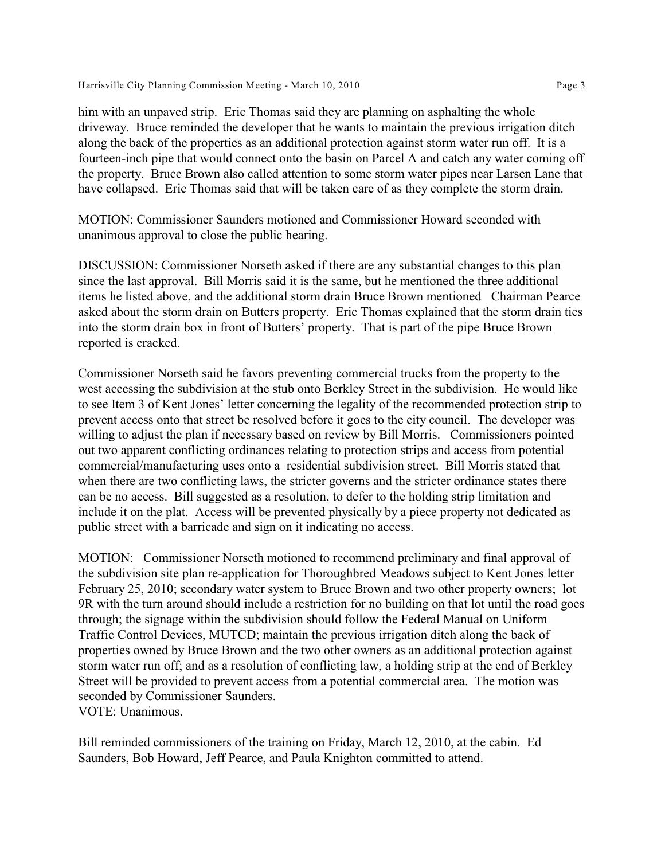him with an unpaved strip. Eric Thomas said they are planning on asphalting the whole driveway. Bruce reminded the developer that he wants to maintain the previous irrigation ditch along the back of the properties as an additional protection against storm water run off. It is a fourteen-inch pipe that would connect onto the basin on Parcel A and catch any water coming off the property. Bruce Brown also called attention to some storm water pipes near Larsen Lane that have collapsed. Eric Thomas said that will be taken care of as they complete the storm drain.

MOTION: Commissioner Saunders motioned and Commissioner Howard seconded with unanimous approval to close the public hearing.

DISCUSSION: Commissioner Norseth asked if there are any substantial changes to this plan since the last approval. Bill Morris said it is the same, but he mentioned the three additional items he listed above, and the additional storm drain Bruce Brown mentioned Chairman Pearce asked about the storm drain on Butters property. Eric Thomas explained that the storm drain ties into the storm drain box in front of Butters' property. That is part of the pipe Bruce Brown reported is cracked.

Commissioner Norseth said he favors preventing commercial trucks from the property to the west accessing the subdivision at the stub onto Berkley Street in the subdivision. He would like to see Item 3 of Kent Jones' letter concerning the legality of the recommended protection strip to prevent access onto that street be resolved before it goes to the city council. The developer was willing to adjust the plan if necessary based on review by Bill Morris. Commissioners pointed out two apparent conflicting ordinances relating to protection strips and access from potential commercial/manufacturing uses onto a residential subdivision street. Bill Morris stated that when there are two conflicting laws, the stricter governs and the stricter ordinance states there can be no access. Bill suggested as a resolution, to defer to the holding strip limitation and include it on the plat. Access will be prevented physically by a piece property not dedicated as public street with a barricade and sign on it indicating no access.

MOTION: Commissioner Norseth motioned to recommend preliminary and final approval of the subdivision site plan re-application for Thoroughbred Meadows subject to Kent Jones letter February 25, 2010; secondary water system to Bruce Brown and two other property owners; lot 9R with the turn around should include a restriction for no building on that lot until the road goes through; the signage within the subdivision should follow the Federal Manual on Uniform Traffic Control Devices, MUTCD; maintain the previous irrigation ditch along the back of properties owned by Bruce Brown and the two other owners as an additional protection against storm water run off; and as a resolution of conflicting law, a holding strip at the end of Berkley Street will be provided to prevent access from a potential commercial area. The motion was seconded by Commissioner Saunders. VOTE: Unanimous.

Bill reminded commissioners of the training on Friday, March 12, 2010, at the cabin. Ed Saunders, Bob Howard, Jeff Pearce, and Paula Knighton committed to attend.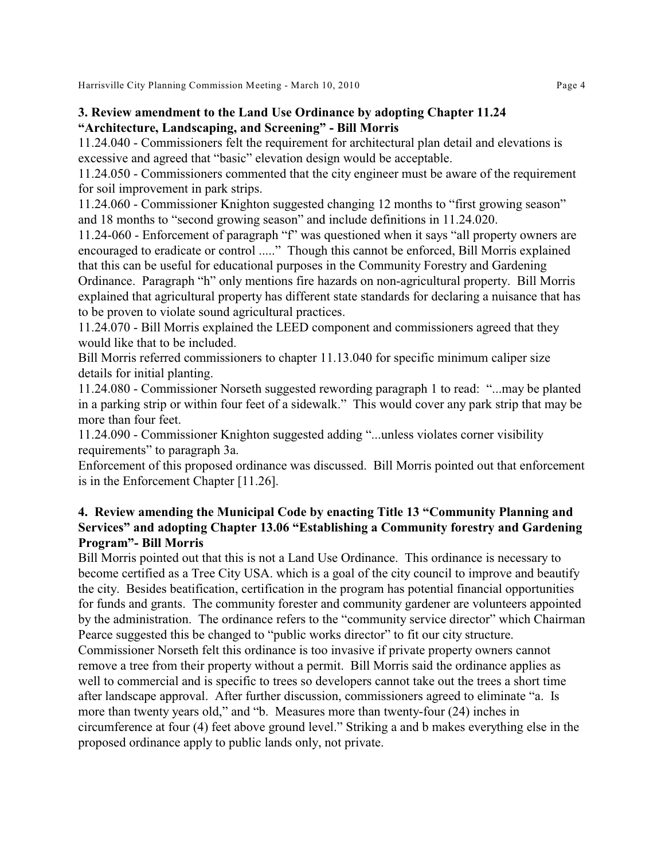## **3. Review amendment to the Land Use Ordinance by adopting Chapter 11.24 "Architecture, Landscaping, and Screening" - Bill Morris**

11.24.040 - Commissioners felt the requirement for architectural plan detail and elevations is excessive and agreed that "basic" elevation design would be acceptable.

11.24.050 - Commissioners commented that the city engineer must be aware of the requirement for soil improvement in park strips.

11.24.060 - Commissioner Knighton suggested changing 12 months to "first growing season" and 18 months to "second growing season" and include definitions in 11.24.020.

11.24-060 - Enforcement of paragraph "f" was questioned when it says "all property owners are encouraged to eradicate or control ....." Though this cannot be enforced, Bill Morris explained that this can be useful for educational purposes in the Community Forestry and Gardening Ordinance. Paragraph "h" only mentions fire hazards on non-agricultural property. Bill Morris explained that agricultural property has different state standards for declaring a nuisance that has to be proven to violate sound agricultural practices.

11.24.070 - Bill Morris explained the LEED component and commissioners agreed that they would like that to be included.

Bill Morris referred commissioners to chapter 11.13.040 for specific minimum caliper size details for initial planting.

11.24.080 - Commissioner Norseth suggested rewording paragraph 1 to read: "...may be planted in a parking strip or within four feet of a sidewalk." This would cover any park strip that may be more than four feet.

11.24.090 - Commissioner Knighton suggested adding "...unless violates corner visibility requirements" to paragraph 3a.

Enforcement of this proposed ordinance was discussed. Bill Morris pointed out that enforcement is in the Enforcement Chapter [11.26].

# **4. Review amending the Municipal Code by enacting Title 13 "Community Planning and Services" and adopting Chapter 13.06 "Establishing a Community forestry and Gardening Program"- Bill Morris**

Bill Morris pointed out that this is not a Land Use Ordinance. This ordinance is necessary to become certified as a Tree City USA. which is a goal of the city council to improve and beautify the city. Besides beatification, certification in the program has potential financial opportunities for funds and grants. The community forester and community gardener are volunteers appointed by the administration. The ordinance refers to the "community service director" which Chairman Pearce suggested this be changed to "public works director" to fit our city structure.

Commissioner Norseth felt this ordinance is too invasive if private property owners cannot remove a tree from their property without a permit. Bill Morris said the ordinance applies as well to commercial and is specific to trees so developers cannot take out the trees a short time after landscape approval. After further discussion, commissioners agreed to eliminate "a. Is more than twenty years old," and "b. Measures more than twenty-four (24) inches in circumference at four (4) feet above ground level." Striking a and b makes everything else in the proposed ordinance apply to public lands only, not private.